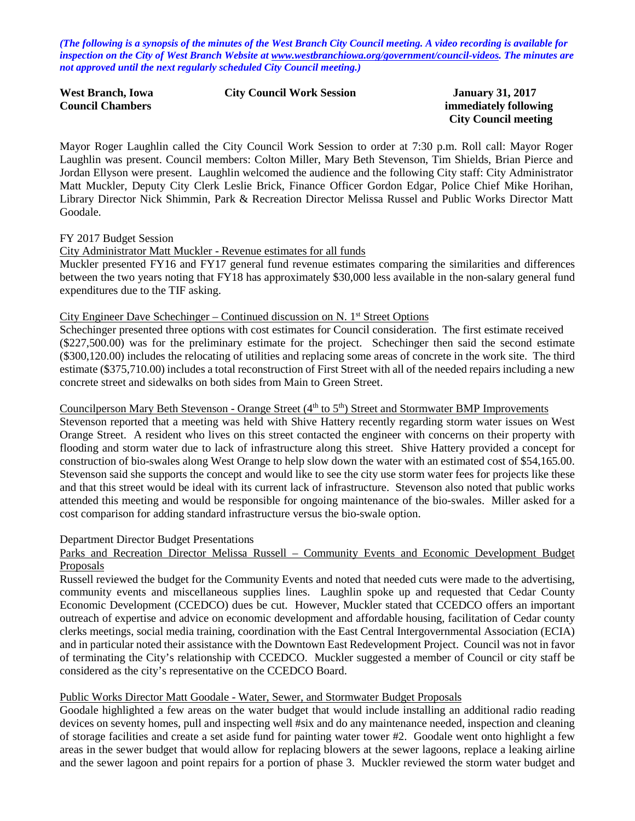*(The following is a synopsis of the minutes of the West Branch City Council meeting. A video recording is available for inspection on the City of West Branch Website at [www.westbranchiowa.org/government/council-videos.](http://www.westbranchiowa.org/government/council-videos) The minutes are not approved until the next regularly scheduled City Council meeting.)*

| West Branch, Iowa       | <b>City Council Work Session</b> |
|-------------------------|----------------------------------|
| <b>Council Chambers</b> |                                  |

**January 31, 2017 immediately following City Council meeting**

Mayor Roger Laughlin called the City Council Work Session to order at 7:30 p.m. Roll call: Mayor Roger Laughlin was present. Council members: Colton Miller, Mary Beth Stevenson, Tim Shields, Brian Pierce and Jordan Ellyson were present. Laughlin welcomed the audience and the following City staff: City Administrator Matt Muckler, Deputy City Clerk Leslie Brick, Finance Officer Gordon Edgar, Police Chief Mike Horihan, Library Director Nick Shimmin, Park & Recreation Director Melissa Russel and Public Works Director Matt Goodale.

## FY 2017 Budget Session

## City Administrator Matt Muckler - Revenue estimates for all funds

Muckler presented FY16 and FY17 general fund revenue estimates comparing the similarities and differences between the two years noting that FY18 has approximately \$30,000 less available in the non-salary general fund expenditures due to the TIF asking.

#### City Engineer Dave Schechinger – Continued discussion on N. 1st Street Options

Schechinger presented three options with cost estimates for Council consideration. The first estimate received (\$227,500.00) was for the preliminary estimate for the project. Schechinger then said the second estimate (\$300,120.00) includes the relocating of utilities and replacing some areas of concrete in the work site. The third estimate (\$375,710.00) includes a total reconstruction of First Street with all of the needed repairs including a new concrete street and sidewalks on both sides from Main to Green Street.

# Councilperson Mary Beth Stevenson - Orange Street (4<sup>th</sup> to 5<sup>th</sup>) Street and Stormwater BMP Improvements

Stevenson reported that a meeting was held with Shive Hattery recently regarding storm water issues on West Orange Street. A resident who lives on this street contacted the engineer with concerns on their property with flooding and storm water due to lack of infrastructure along this street. Shive Hattery provided a concept for construction of bio-swales along West Orange to help slow down the water with an estimated cost of \$54,165.00. Stevenson said she supports the concept and would like to see the city use storm water fees for projects like these and that this street would be ideal with its current lack of infrastructure. Stevenson also noted that public works attended this meeting and would be responsible for ongoing maintenance of the bio-swales. Miller asked for a cost comparison for adding standard infrastructure versus the bio-swale option.

#### Department Director Budget Presentations

## Parks and Recreation Director Melissa Russell – Community Events and Economic Development Budget Proposals

Russell reviewed the budget for the Community Events and noted that needed cuts were made to the advertising, community events and miscellaneous supplies lines. Laughlin spoke up and requested that Cedar County Economic Development (CCEDCO) dues be cut. However, Muckler stated that CCEDCO offers an important outreach of expertise and advice on economic development and affordable housing, facilitation of Cedar county clerks meetings, social media training, coordination with the East Central Intergovernmental Association (ECIA) and in particular noted their assistance with the Downtown East Redevelopment Project. Council was not in favor of terminating the City's relationship with CCEDCO. Muckler suggested a member of Council or city staff be considered as the city's representative on the CCEDCO Board.

## Public Works Director Matt Goodale - Water, Sewer, and Stormwater Budget Proposals

Goodale highlighted a few areas on the water budget that would include installing an additional radio reading devices on seventy homes, pull and inspecting well #six and do any maintenance needed, inspection and cleaning of storage facilities and create a set aside fund for painting water tower #2. Goodale went onto highlight a few areas in the sewer budget that would allow for replacing blowers at the sewer lagoons, replace a leaking airline and the sewer lagoon and point repairs for a portion of phase 3. Muckler reviewed the storm water budget and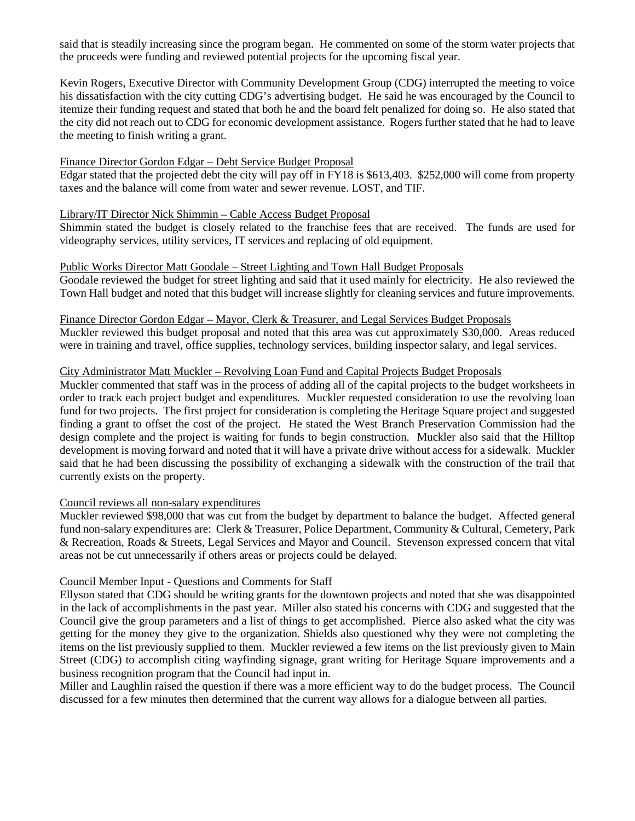said that is steadily increasing since the program began. He commented on some of the storm water projects that the proceeds were funding and reviewed potential projects for the upcoming fiscal year.

Kevin Rogers, Executive Director with Community Development Group (CDG) interrupted the meeting to voice his dissatisfaction with the city cutting CDG's advertising budget. He said he was encouraged by the Council to itemize their funding request and stated that both he and the board felt penalized for doing so. He also stated that the city did not reach out to CDG for economic development assistance. Rogers further stated that he had to leave the meeting to finish writing a grant.

## Finance Director Gordon Edgar – Debt Service Budget Proposal

Edgar stated that the projected debt the city will pay off in FY18 is \$613,403. \$252,000 will come from property taxes and the balance will come from water and sewer revenue. LOST, and TIF.

#### Library/IT Director Nick Shimmin – Cable Access Budget Proposal

Shimmin stated the budget is closely related to the franchise fees that are received. The funds are used for videography services, utility services, IT services and replacing of old equipment.

#### Public Works Director Matt Goodale – Street Lighting and Town Hall Budget Proposals

Goodale reviewed the budget for street lighting and said that it used mainly for electricity. He also reviewed the Town Hall budget and noted that this budget will increase slightly for cleaning services and future improvements.

## Finance Director Gordon Edgar – Mayor, Clerk & Treasurer, and Legal Services Budget Proposals

Muckler reviewed this budget proposal and noted that this area was cut approximately \$30,000. Areas reduced were in training and travel, office supplies, technology services, building inspector salary, and legal services.

## City Administrator Matt Muckler – Revolving Loan Fund and Capital Projects Budget Proposals

Muckler commented that staff was in the process of adding all of the capital projects to the budget worksheets in order to track each project budget and expenditures. Muckler requested consideration to use the revolving loan fund for two projects. The first project for consideration is completing the Heritage Square project and suggested finding a grant to offset the cost of the project. He stated the West Branch Preservation Commission had the design complete and the project is waiting for funds to begin construction. Muckler also said that the Hilltop development is moving forward and noted that it will have a private drive without access for a sidewalk. Muckler said that he had been discussing the possibility of exchanging a sidewalk with the construction of the trail that currently exists on the property.

#### Council reviews all non-salary expenditures

Muckler reviewed \$98,000 that was cut from the budget by department to balance the budget. Affected general fund non-salary expenditures are: Clerk & Treasurer, Police Department, Community & Cultural, Cemetery, Park & Recreation, Roads & Streets, Legal Services and Mayor and Council. Stevenson expressed concern that vital areas not be cut unnecessarily if others areas or projects could be delayed.

## Council Member Input - Questions and Comments for Staff

Ellyson stated that CDG should be writing grants for the downtown projects and noted that she was disappointed in the lack of accomplishments in the past year. Miller also stated his concerns with CDG and suggested that the Council give the group parameters and a list of things to get accomplished. Pierce also asked what the city was getting for the money they give to the organization. Shields also questioned why they were not completing the items on the list previously supplied to them. Muckler reviewed a few items on the list previously given to Main Street (CDG) to accomplish citing wayfinding signage, grant writing for Heritage Square improvements and a business recognition program that the Council had input in.

Miller and Laughlin raised the question if there was a more efficient way to do the budget process. The Council discussed for a few minutes then determined that the current way allows for a dialogue between all parties.